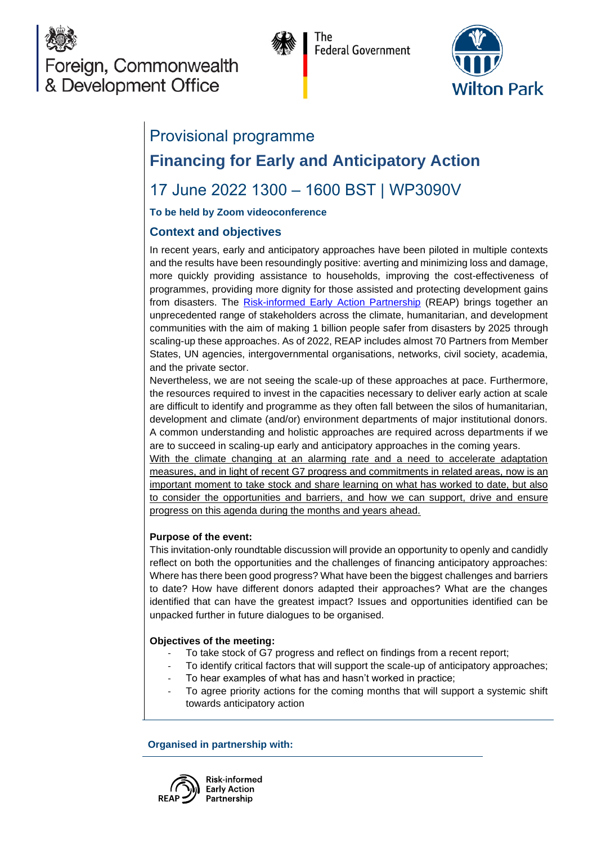

**Federal Government** 



# Provisional programme **Financing for Early and Anticipatory Action**

# 17 June 2022 1300 – 1600 BST | WP3090V

**To be held by Zoom videoconference**

## **Context and objectives**

In recent years, early and anticipatory approaches have been piloted in multiple contexts and the results have been resoundingly positive: averting and minimizing loss and damage, more quickly providing assistance to households, improving the cost-effectiveness of programmes, providing more dignity for those assisted and protecting development gains from disasters. The [Risk-informed Early Action Partnership](https://www.early-action-reap.org/who-we-are) (REAP) brings together an unprecedented range of stakeholders across the climate, humanitarian, and development communities with the aim of making 1 billion people safer from disasters by 2025 through scaling-up these approaches. As of 2022, REAP includes almost 70 Partners from Member States, UN agencies, intergovernmental organisations, networks, civil society, academia, and the private sector.

Nevertheless, we are not seeing the scale-up of these approaches at pace. Furthermore, the resources required to invest in the capacities necessary to deliver early action at scale are difficult to identify and programme as they often fall between the silos of humanitarian, development and climate (and/or) environment departments of major institutional donors. A common understanding and holistic approaches are required across departments if we are to succeed in scaling-up early and anticipatory approaches in the coming years.

With the climate changing at an alarming rate and a need to accelerate adaptation measures, and in light of recent G7 progress and commitments in related areas, now is an important moment to take stock and share learning on what has worked to date, but also to consider the opportunities and barriers, and how we can support, drive and ensure progress on this agenda during the months and years ahead.

### **Purpose of the event:**

This invitation-only roundtable discussion will provide an opportunity to openly and candidly reflect on both the opportunities and the challenges of financing anticipatory approaches: Where has there been good progress? What have been the biggest challenges and barriers to date? How have different donors adapted their approaches? What are the changes identified that can have the greatest impact? Issues and opportunities identified can be unpacked further in future dialogues to be organised.

### **Objectives of the meeting:**

- To take stock of G7 progress and reflect on findings from a recent report;
- To identify critical factors that will support the scale-up of anticipatory approaches;
- To hear examples of what has and hasn't worked in practice;
- To agree priority actions for the coming months that will support a systemic shift towards anticipatory action

**Organised in partnership with:**